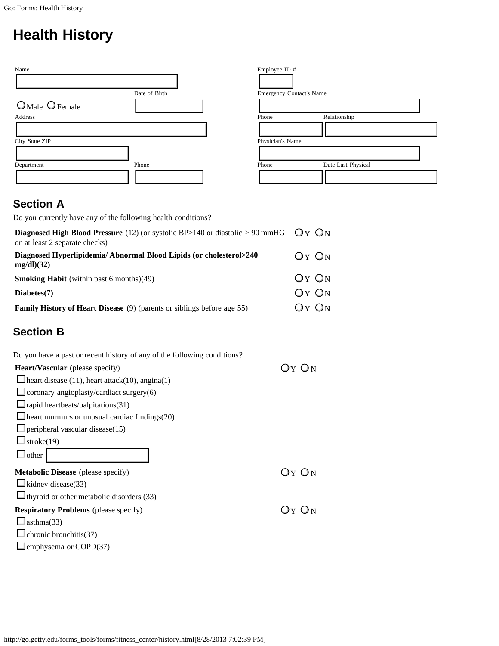## **Health History**

| Name                |               | Employee ID #            |                    |
|---------------------|---------------|--------------------------|--------------------|
|                     | Date of Birth | Emergency Contact's Name |                    |
| $O$ Male $O$ Female |               |                          |                    |
| Address             |               | Phone                    | Relationship       |
|                     |               |                          |                    |
| City State ZIP      |               | Physician's Name         |                    |
|                     |               |                          |                    |
| Department          | Phone         | Phone                    | Date Last Physical |
|                     |               |                          |                    |

## **Section A**

Do you currently have any of the following health conditions?

| <b>Diagnosed High Blood Pressure</b> (12) (or systolic BP>140 or diastolic > 90 mmHG $Q_Y$ ON<br>on at least 2 separate checks) |           |
|---------------------------------------------------------------------------------------------------------------------------------|-----------|
| Diagnosed Hyperlipidemia/Abnormal Blood Lipids (or cholesterol>240<br>$mg/dl$ )(32)                                             | $OY$ $ON$ |
| <b>Smoking Habit</b> (within past 6 months) $(49)$                                                                              | $OY$ $ON$ |
| Diabetes(7)                                                                                                                     | $OY$ $ON$ |
| <b>Family History of Heart Disease</b> (9) (parents or siblings before age 55)                                                  | $OY$ $ON$ |

## **Section B**

| Do you have a past or recent history of any of the following conditions? |       |
|--------------------------------------------------------------------------|-------|
| <b>Heart/Vascular</b> (please specify)                                   | Оу Ом |
| $\Box$ heart disease (11), heart attack(10), angina(1)                   |       |
| $\Box$ coronary angioplasty/cardiact surgery(6)                          |       |
| $\Box$ rapid heartbeats/palpitations(31)                                 |       |
| $\blacksquare$ heart murmurs or unusual cardiac findings(20)             |       |
| $\Box$ peripheral vascular disease(15)                                   |       |
| $\mathbf{I}$ stroke $(19)$                                               |       |
| $\mathsf{\_}$ other                                                      |       |
| <b>Metabolic Disease</b> (please specify)                                | Оү Он |
| $\Box$ kidney disease(33)                                                |       |
| $\Box$ thyroid or other metabolic disorders (33)                         |       |
| <b>Respiratory Problems</b> (please specify)                             | Оү Ом |
| asthma(33)                                                               |       |
| chronic bronchitis(37)                                                   |       |
| <b>J</b> emphysema or COPD $(37)$                                        |       |